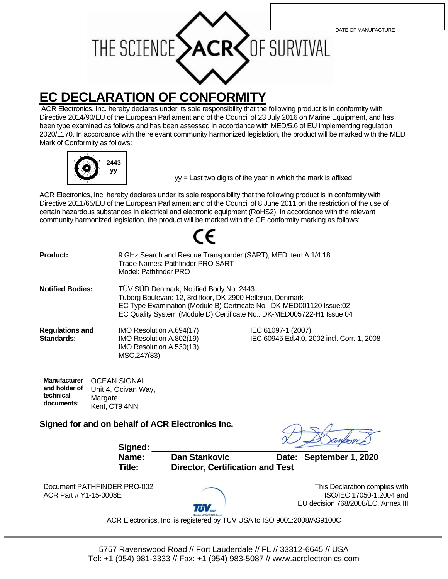

ACR Electronics, Inc. hereby declares under its sole responsibility that the following product is in conformity with Directive 2014/90/EU of the European Parliament and of the Council of 23 July 2016 on Marine Equipment, and has been type examined as follows and has been assessed in accordance with MED/5.6 of EU implementing regulation 2020/1170. In accordance with the relevant community harmonized legislation, the product will be marked with the MED Mark of Conformity as follows:



yy = Last two digits of the year in which the mark is affixed

ACR Electronics, Inc. hereby declares under its sole responsibility that the following product is in conformity with Directive 2011/65/EU of the European Parliament and of the Council of 8 June 2011 on the restriction of the use of certain hazardous substances in electrical and electronic equipment (RoHS2). In accordance with the relevant community harmonized legislation, the product will be marked with the CE conformity marking as follows:

| <b>Product:</b>                      | 9 GHz Search and Rescue Transponder (SART), MED Item A.1/4.18<br>Trade Names: Pathfinder PRO SART<br>Model: Pathfinder PRO                                                                                                                              |                                                                  |
|--------------------------------------|---------------------------------------------------------------------------------------------------------------------------------------------------------------------------------------------------------------------------------------------------------|------------------------------------------------------------------|
| <b>Notified Bodies:</b>              | TÜV SÜD Denmark, Notified Body No. 2443<br>Tuborg Boulevard 12, 3rd floor, DK-2900 Hellerup, Denmark<br>EC Type Examination (Module B) Certificate No.: DK-MED001120 Issue:02<br>EC Quality System (Module D) Certificate No.: DK-MED005722-H1 Issue 04 |                                                                  |
| <b>Regulations and</b><br>Standards: | IMO Resolution A.694(17)<br>IMO Resolution A.802(19)<br>IMO Resolution A.530(13)<br>MSC.247(83)                                                                                                                                                         | IEC 61097-1 (2007)<br>IEC 60945 Ed.4.0, 2002 incl. Corr. 1, 2008 |

| <b>Manufacturer</b> | <b>OCEAN SIGNAL</b> |  |
|---------------------|---------------------|--|
| and holder of       | Unit 4, Ocivan Way, |  |
| technical           | Margate             |  |
| documents:          | Kent, CT9 4NN       |  |

**Signed for and on behalf of ACR Electronics Inc.**

Signed:

**Name: Dan Stankovic Date: September 1, 2020 Title: Director, Certification and Test**

Document PATHFINDER PRO-002 ACR Part # Y1-15-0008E



This Declaration complies with ISO/IEC 17050-1:2004 and EU decision 768/2008/EC, Annex III

ACR Electronics, Inc. is registered by TUV USA to ISO 9001:2008/AS9100C